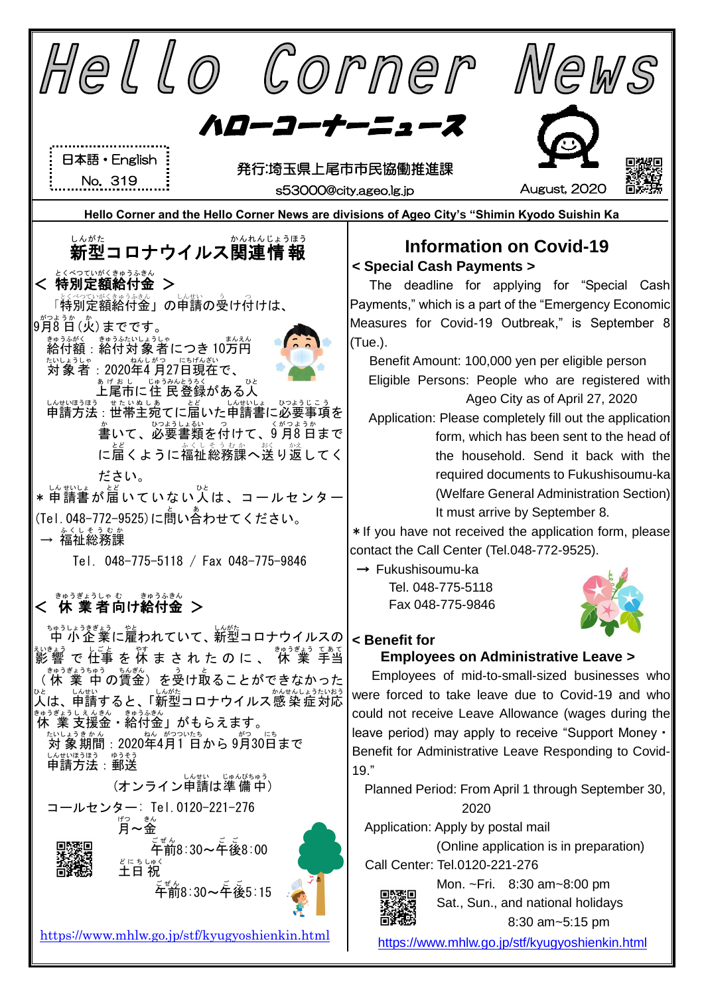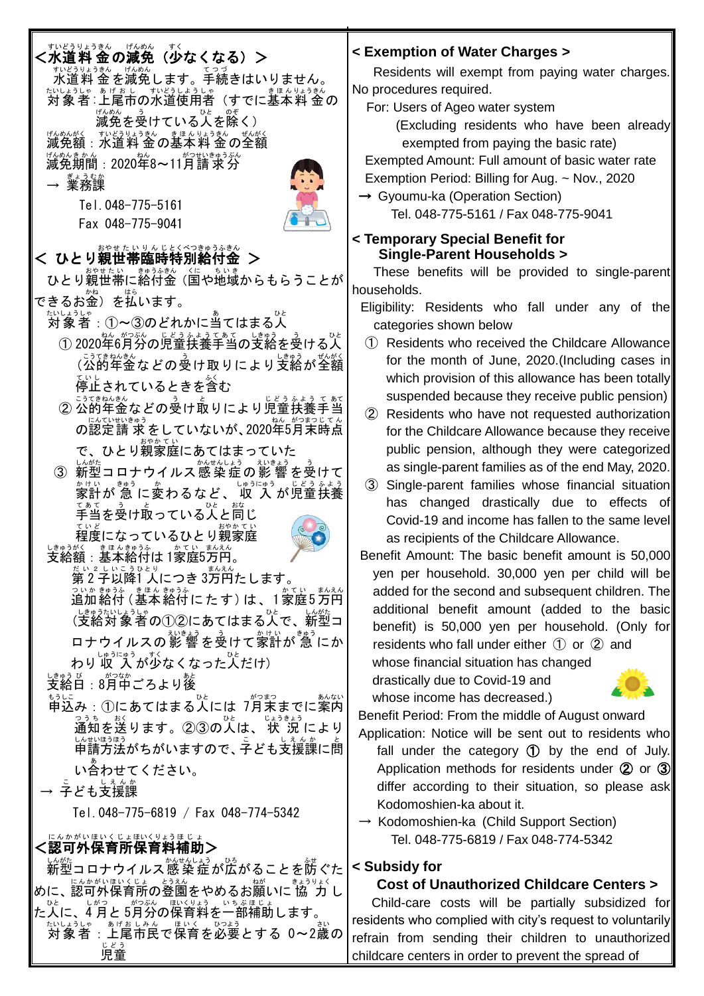| すいどうりょうきん げんめん<br>すく<br>(少なくなる)><br><水道料 金の減免 ―                                                                                                                                    | < E                 |
|------------------------------------------------------------------------------------------------------------------------------------------------------------------------------------|---------------------|
| すいどうりょうきん げんめん<br>テいヒラッょぅきん げんめん<br>水道料 金 を減免します。手続きはいりません。<br>たいしょうしゃ あげおし すいどうしょうしゃ<br>きほ んりょうきん<br>対象者:上尾市の水道使用者(すでに基本料 金の<br>げんめん<br>ひと のぞ<br>ぅ                                | <b>No</b><br>F      |
| 減免を受けている人を除く)<br><sub>げんめんがく</sub> <sub>すいどうりょうきん</sub> きほんりょうきん  ぜんがく<br><b>減免額:水道料 金 の基本 料 金 の全額</b><br>げんめんき か ん<br>ねん<br>がつせいきゅうぶん<br>減免期間:2020年8~11月請 求 分                     |                     |
| <sub>ぎょうむか</sub><br>Tel.048-775-5161                                                                                                                                               |                     |
| Fax 048-775-9041<br>おやせたい りんじとくべつきゅうふきん<br>く ひとり親世帯臨時特別給付金                                                                                                                         |                     |
| ひとり親世帯に絡付金(国や地域からもらうことが<br>できるお金)を払います。                                                                                                                                            | hοι                 |
| ① 2020年6月分の児童扶養手当の支給を受ける人                                                                                                                                                          | E                   |
| 、゠ぅてきねゃも。<br>(公的年金などの受け取りにより支給が全額<br>停止されているときを含む                                                                                                                                  |                     |
| じどうふょう てあて<br>こうてきねんきん<br>② 公的年金などの受け取りにより児童扶養手当<br>の認定請 求 をしていないが、2020年5月末時点                                                                                                      |                     |
| で、ひとり親家庭にあてはまっていた<br>しんがた<br>い <sub>始</sub><br>新型コロナウイルス感染症の影響を受けて<br>3<br><u>*</u> #いま゚゚゚゚゚゚゚゚゠゚ゕ゙ゎるなど、収゚入゚゙ゕ゙゚児童扶養                                                               |                     |
| ひと<br>おな<br>手当を受け取っている人と同じ<br>おやか て<br>O.<br>程度になっているひとり親家庭<br>しきゅうがく<br>き ほ んきゅうふ<br>かてい まんえん<br>支給額:基本給付は 1家庭5万円。                                                                | В١                  |
| だい 2 しいこうひとり<br>第2子以降1 人につき 3万円たします。<br>っぃゕ <sub>゙゙゙゙</sub> ゕぅ»  きほん きゅうふ<br>追加 給付 ( 基本 給付 に た す ) は 、 1 家庭 5 万円<br>まんえん<br>しきゅうたいしょうしゃ<br>ひと<br>しんがた<br>(支給対象者の①②にあてはまる人で、<br>新型コ |                     |
| ロナウイルスの影響を受けて家計が急にか<br>しゅうにゅう<br>わり 収 入 が少なくなった人だけ)                                                                                                                                |                     |
| しきゅう び<br>がつなか<br>あと<br>支給日:8月中ごろより後<br>もうしこ<br>がつまつ<br>あんない<br>ひと<br>①にあてはまる人には 7月末までに案内<br>申込み:<br>つうち<br>おく<br>ひと<br>じょうきょう<br>通知を送ります。②③の人は、<br>状 況により                         | B6                  |
| しんせいほうほう<br>しえんか<br>申請方法がちがいますので、子ども支援課に問<br>い合わせてください。<br>しえんか                                                                                                                    | Ar                  |
| → 字ども支援課<br>Tel.048-775-6819 / Fax 048-774-5342                                                                                                                                    |                     |
| にんかがいほいくじょほいくりょうほじょ<br><認可外保育所保育料補助><br>しんがた<br>い <sub>がた</sub><br>新型コロナウイルス感 染症が広がることを防ぐた                                                                                         | < S                 |
| にんかがいほいくじょ とうえん<br>ねが<br>きょうりょく<br>めに、認可外保育所の登園をやめるお願いに 協 力 し<br>ひと<br>しがつ<br>がつぶん ほいくりょう いちぶほじょ                                                                                   |                     |
| た人に、4 月と 5月分の保育料を一部補助します。<br>あげおしみん ほいく ひつよう<br>たいしょうしゃ<br>:上尾市民で保育を必要とする 0~2歳の<br>じどう<br>児童                                                                                       | res<br>refr<br>chil |

### **< Exemption of Water Charges >**

Residents will exempt from paying water charges. procedures required.

For: Users of Ageo water system

(Excluding residents who have been already exempted from paying the basic rate)

 Exempted Amount: Full amount of basic water rate Exemption Period: Billing for Aug. ~ Nov., 2020

→ Gyoumu-ka (Operation Section) Tel. 048-775-5161 / Fax 048-775-9041

#### **Femporary Special Benefit for Single-Parent Households >**

These benefits will be provided to single-parent useholds.

ligibility: Residents who fall under any of the categories shown below

- ① Residents who received the Childcare Allowance for the month of June, 2020.(Including cases in which provision of this allowance has been totally suspended because they receive public pension)
- ② Residents who have not requested authorization for the Childcare Allowance because they receive public pension, although they were categorized as single-parent families as of the end May, 2020.
- ③ Single-parent families whose financial situation has changed drastically due to effects of Covid-19 and income has fallen to the same level as recipients of the Childcare Allowance.
- enefit Amount: The basic benefit amount is 50,000 yen per household. 30,000 yen per child will be added for the second and subsequent children. The additional benefit amount (added to the basic benefit) is 50,000 yen per household. (Only for residents who fall under either ① or ② and whose financial situation has changed

drastically due to Covid-19 and whose income has decreased.)



enefit Period: From the middle of August onward

- oplication: Notice will be sent out to residents who fall under the category ① by the end of July. Application methods for residents under 2 or 3 differ according to their situation, so please ask Kodomoshien-ka about it.
- Kodomoshien-ka (Child Support Section) Tel. 048-775-6819 / Fax 048-774-5342

## **< Subsidy for**

## **Cost of Unauthorized Childcare Centers >**

Child-care costs will be partially subsidized for idents who complied with city's request to voluntarily rain from sending their children to unauthorized childcare centers in order to prevent the spread of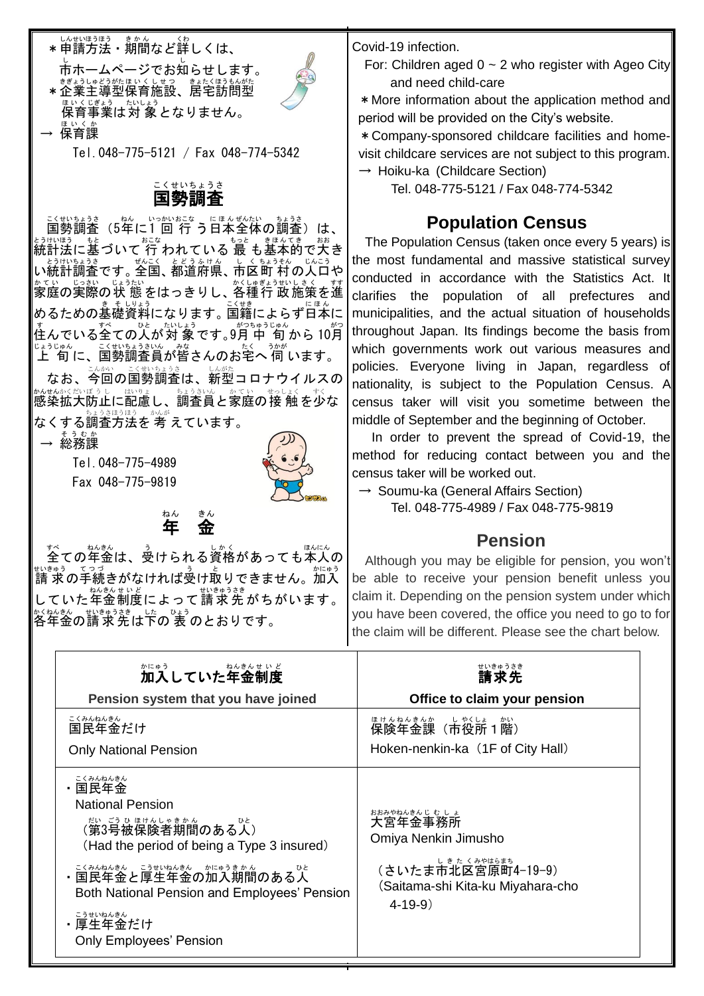

→ 保育課 ほいくか Tel.048-775-5121 / Fax 048-774-5342

#### 国勢 調査 こくせい ちょうさ

<u>こくせいちょうさ</u><br>国勢調査(5年に1 回 行 う日本全体の調査)は、 統計法 とうけいほう に基 もと づいて 行 おこな われている 最 もっと も基本的 きほんてき で大 おお き い統計調査です。 全国、 都道府県、 市区町 村 の人口や ゕてい。じっかい じょうたい<br>家庭の実際の状 態をはっきりし、各種行 政施策を進 。<br>めるための基礎資料になります。国籍によらず日本に す<br>住んでいる全ての人が対 象です。9月 中 旬 から 10月 <sub>じょうじゅん</sub> こくせいますいん *恭、*<br>上 旬に、国勢調査員が皆さんのお宅へ 伺 います。

なお、今回の国勢調査は、新型コロナウイルスの \*^セヘホミだシビラービ はいましょうきいん あてい せっしょく すく<br>感染拡大防止に配慮し、調査員と家庭の接 触 を少な なくする調査方法を 考 えています。

→ 総務課 そうむか

Tel.048-775-4989 Fax 048-775-9819

全 すべ ての年金 ねんきん は、受 う けられる資格 しかく があっても本人 ほんにん の ಕूಟಕ್ಯಾ てっっ<br>請 求の手続きがなければ受け取りできません。加入 していた年金制度によって請求先がちがいます。 各年金 かくねんきん の請求先 せいきゅうさき は下 した の 表 ひょう のとおりです。

 金 きん

年 ねん Covid-19 infection.

For: Children aged  $0 \sim 2$  who register with Ageo City and need child-care

\*More information about the application method and period will be provided on the City's website.

\*Company-sponsored childcare facilities and homevisit childcare services are not subject to this program.  $\rightarrow$  Hoiku-ka (Childcare Section)

Tel. 048-775-5121 / Fax 048-774-5342

# **Population Census**

The Population Census (taken once every 5 years) is the most fundamental and massive statistical survey conducted in accordance with the Statistics Act. It clarifies the population of all prefectures and municipalities, and the actual situation of households throughout Japan. Its findings become the basis from which governments work out various measures and policies. Everyone living in Japan, regardless of nationality, is subject to the Population Census. A census taker will visit you sometime between the middle of September and the beginning of October.

In order to prevent the spread of Covid-19, the method for reducing contact between you and the census taker will be worked out.

 $\rightarrow$  Soumu-ka (General Affairs Section)

Tel. 048-775-4989 / Fax 048-775-9819

## **Pension**

Although you may be eligible for pension, you won't be able to receive your pension benefit unless you claim it. Depending on the pension system under which you have been covered, the office you need to go to for the claim will be different. Please see the chart below.

| 加入していた年金制度<br>Pension system that you have joined                                                                                                                                                                                                                            | Office to claim your pension                                                                                                               |
|------------------------------------------------------------------------------------------------------------------------------------------------------------------------------------------------------------------------------------------------------------------------------|--------------------------------------------------------------------------------------------------------------------------------------------|
| こくみんねんきん<br>国民年金だけ<br><b>Only National Pension</b>                                                                                                                                                                                                                           | ほけんねんきんか、しゃくしょうかい。<br>Hoken-nenkin-ka (1F of City Hall)                                                                                    |
| こくみんねんきん<br>・国民年金<br><b>National Pension</b><br>(第3号被保険者期間のある人)<br>(Had the period of being a Type 3 insured)<br>・ミミネムネムキム、ェラಕヒ៴àムಕム、カにゅうきゕん<br>・国民年金と厚生年金の加入期間のある人<br>Both National Pension and Employees' Pension<br>こうせいねんきん<br>・厚生年金だけ<br><b>Only Employees' Pension</b> | おおみやねんきんじ むしょ<br>大宮年金事務所<br>Omiya Nenkin Jimusho<br>しきた くみやはらまち<br>(さいたま市北区宮原町4-19-9)<br>(Saitama-shi Kita-ku Miyahara-cho<br>$4 - 19 - 9$ |